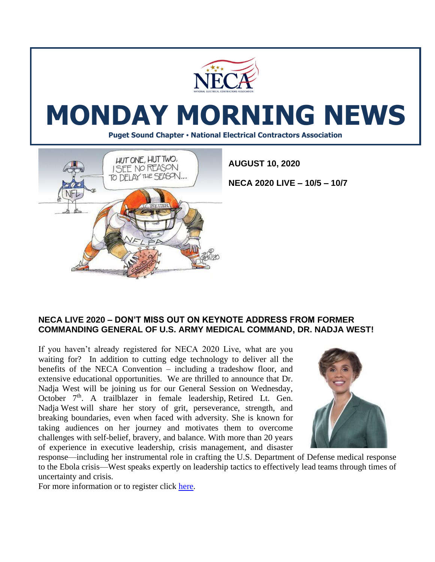

# **MONDAY MORNING NEWS**

**Puget Sound Chapter • National Electrical Contractors Association**



**AUGUST 10, 2020**

**NECA 2020 LIVE – 10/5 – 10/7**

#### **NECA LIVE 2020 – DON'T MISS OUT ON KEYNOTE ADDRESS FROM FORMER COMMANDING GENERAL OF U.S. ARMY MEDICAL COMMAND, DR. NADJA WEST!**

If you haven't already registered for NECA 2020 Live, what are you waiting for? In addition to cutting edge technology to deliver all the benefits of the NECA Convention – including a tradeshow floor, and extensive educational opportunities. We are thrilled to announce that Dr. Nadja West will be joining us for our General Session on Wednesday, October 7<sup>th</sup>. A trailblazer in female leadership, Retired Lt. Gen. Nadja West will share her story of grit, perseverance, strength, and breaking boundaries, even when faced with adversity. She is known for taking audiences on her journey and motivates them to overcome challenges with self-belief, bravery, and balance. With more than 20 years of experience in executive leadership, crisis management, and disaster



response—including her instrumental role in crafting the U.S. Department of Defense medical response to the Ebola crisis—West speaks expertly on leadership tactics to effectively lead teams through times of uncertainty and crisis.

For more information or to register click [here.](https://reg.cmrus.com/neca2020/)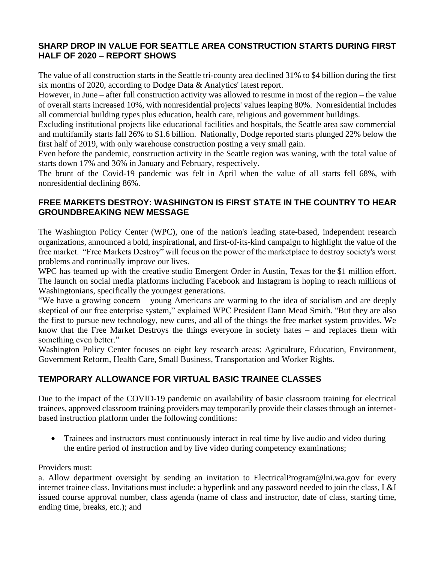## **SHARP DROP IN VALUE FOR SEATTLE AREA CONSTRUCTION STARTS DURING FIRST HALF OF 2020 – REPORT SHOWS**

The value of all construction starts in the Seattle tri-county area declined 31% to \$4 billion during the first six months of 2020, according to Dodge Data & Analytics' latest report.

However, in June – after full construction activity was allowed to resume in most of the region – the value of overall starts increased 10%, with nonresidential projects' values leaping 80%. Nonresidential includes all commercial building types plus education, health care, religious and government buildings.

Excluding institutional projects like educational facilities and hospitals, the Seattle area saw commercial and multifamily starts fall 26% to \$1.6 billion. Nationally, Dodge reported starts plunged 22% below the first half of 2019, with only warehouse construction posting a very small gain.

Even before the pandemic, construction activity in the Seattle region was waning, with the total value of starts down 17% and 36% in January and February, respectively.

The brunt of the Covid-19 pandemic was felt in April when the value of all starts fell 68%, with nonresidential declining 86%.

# **FREE MARKETS DESTROY: WASHINGTON IS FIRST STATE IN THE COUNTRY TO HEAR GROUNDBREAKING NEW MESSAGE**

The Washington Policy Center (WPC), one of the nation's leading state-based, independent research organizations, announced a bold, inspirational, and first-of-its-kind campaign to highlight the value of the free market. "Free Markets Destroy" will focus on the power of the marketplace to destroy society's worst problems and continually improve our lives.

WPC has teamed up with the creative studio Emergent Order in Austin, Texas for the \$1 million effort. The launch on social media platforms including Facebook and Instagram is hoping to reach millions of Washingtonians, specifically the youngest generations.

"We have a growing concern – young Americans are warming to the idea of socialism and are deeply skeptical of our free enterprise system," explained WPC President Dann Mead Smith. "But they are also the first to pursue new technology, new cures, and all of the things the free market system provides. We know that the Free Market Destroys the things everyone in society hates – and replaces them with something even better."

Washington Policy Center focuses on eight key research areas: Agriculture, Education, Environment, Government Reform, Health Care, Small Business, Transportation and Worker Rights.

# **TEMPORARY ALLOWANCE FOR VIRTUAL BASIC TRAINEE CLASSES**

Due to the impact of the COVID-19 pandemic on availability of basic classroom training for electrical trainees, approved classroom training providers may temporarily provide their classes through an internetbased instruction platform under the following conditions:

• Trainees and instructors must continuously interact in real time by live audio and video during the entire period of instruction and by live video during competency examinations;

#### Providers must:

a. Allow department oversight by sending an invitation to ElectricalProgram@lni.wa.gov for every internet trainee class. Invitations must include: a hyperlink and any password needed to join the class, L&I issued course approval number, class agenda (name of class and instructor, date of class, starting time, ending time, breaks, etc.); and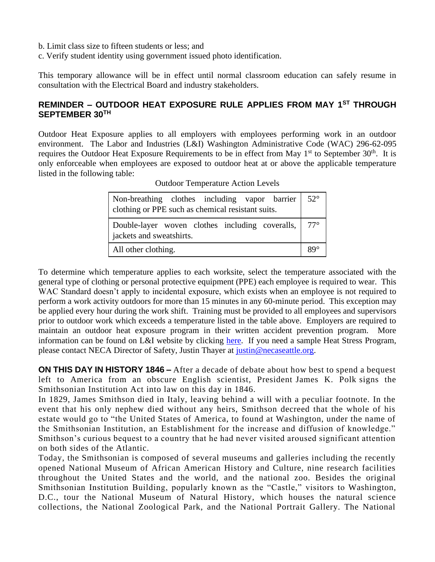- b. Limit class size to fifteen students or less; and
- c. Verify student identity using government issued photo identification.

This temporary allowance will be in effect until normal classroom education can safely resume in consultation with the Electrical Board and industry stakeholders.

## **REMINDER – OUTDOOR HEAT EXPOSURE RULE APPLIES FROM MAY 1ST THROUGH SEPTEMBER 30TH**

Outdoor Heat Exposure applies to all employers with employees performing work in an outdoor environment. The Labor and Industries (L&I) Washington Administrative Code (WAC) 296-62-095 requires the Outdoor Heat Exposure Requirements to be in effect from May 1<sup>st</sup> to September 30<sup>th</sup>. It is only enforceable when employees are exposed to outdoor heat at or above the applicable temperature listed in the following table:

| Non-breathing clothes including vapor barrier<br>clothing or PPE such as chemical resistant suits. | $52^{\circ}$ |
|----------------------------------------------------------------------------------------------------|--------------|
| Double-layer woven clothes including coveralls, $\vert$ 77°<br>jackets and sweatshirts.            |              |
| All other clothing.                                                                                | 89°          |

Outdoor Temperature Action Levels

To determine which temperature applies to each worksite, select the temperature associated with the general type of clothing or personal protective equipment (PPE) each employee is required to wear. This WAC Standard doesn't apply to incidental exposure, which exists when an employee is not required to perform a work activity outdoors for more than 15 minutes in any 60-minute period. This exception may be applied every hour during the work shift. Training must be provided to all employees and supervisors prior to outdoor work which exceeds a temperature listed in the table above. Employers are required to maintain an outdoor heat exposure program in their written accident prevention program. More information can be found on L&I website by clicking [here.](https://www.lni.wa.gov/safety-health/safety-training-materials/training-kits) If you need a sample Heat Stress Program, please contact NECA Director of Safety, Justin Thayer at [justin@necaseattle.org.](mailto:justin@necaseattle.org)

**ON THIS DAY IN HISTORY 1846 –** After a decade of debate about how best to spend a bequest left to America from an obscure English scientist, President [James K. Polk](https://www.history.com/topics/us-presidents/james-polk) signs the Smithsonian Institution Act into law on this day in 1846.

In 1829, James Smithson died in Italy, leaving behind a will with a peculiar footnote. In the event that his only nephew died without any heirs, Smithson decreed that the whole of his estate would go to "the United States of America, to found at Washington, under the name of the Smithsonian Institution, an Establishment for the increase and diffusion of knowledge." Smithson's curious bequest to a country that he had never visited aroused significant attention on both sides of the Atlantic.

Today, the Smithsonian is composed of several museums and galleries including the recently opened National Museum of African American History and Culture, nine research facilities throughout the United States and the world, and the national zoo. Besides the original Smithsonian Institution Building, popularly known as the "Castle," visitors to [Washington,](https://www.history.com/topics/us-states/washington-dc)  [D.C.,](https://www.history.com/topics/us-states/washington-dc) tour the National Museum of Natural History, which houses the natural science collections, the National Zoological Park, and the National Portrait Gallery. The National